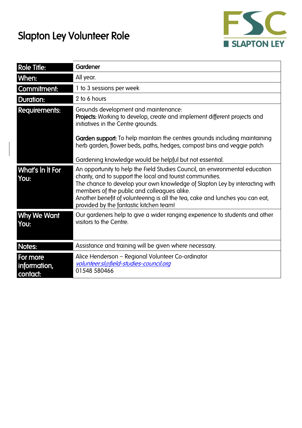## Slapton Ley Volunteer Role



| <b>Role Title:</b>                   | Gardener                                                                                                                                                                                                                                                                                                                                                                                             |
|--------------------------------------|------------------------------------------------------------------------------------------------------------------------------------------------------------------------------------------------------------------------------------------------------------------------------------------------------------------------------------------------------------------------------------------------------|
| When:                                | All year.                                                                                                                                                                                                                                                                                                                                                                                            |
| Commitment:                          | 1 to 3 sessions per week                                                                                                                                                                                                                                                                                                                                                                             |
| <b>Duration:</b>                     | 2 to 6 hours                                                                                                                                                                                                                                                                                                                                                                                         |
| <b>Requirements:</b>                 | Grounds development and maintenance:<br>Projects: Working to develop, create and implement different projects and<br>initiatives in the Centre grounds.                                                                                                                                                                                                                                              |
|                                      | Garden support: To help maintain the centres grounds including maintaining<br>herb garden, flower beds, paths, hedges, compost bins and veggie patch                                                                                                                                                                                                                                                 |
|                                      | Gardening knowledge would be helpful but not essential.                                                                                                                                                                                                                                                                                                                                              |
| What's In It For<br>You:             | An opportunity to help the Field Studies Council, an environmental education<br>charity, and to support the local and tourist communities.<br>The chance to develop your own knowledge of Slapton Ley by interacting with<br>members of the public and colleagues alike.<br>Another benefit of volunteering is all the tea, cake and lunches you can eat,<br>provided by the fantastic kitchen team! |
| Why We Want<br>You:                  | Our gardeners help to give a wider ranging experience to students and other<br>visitors to the Centre.                                                                                                                                                                                                                                                                                               |
| Notes:                               | Assistance and training will be given where necessary.                                                                                                                                                                                                                                                                                                                                               |
| For more<br>information,<br>contact: | Alice Henderson - Regional Volunteer Co-ordinator<br>volunteer.sl@field-studies-council.org<br>01548 580466                                                                                                                                                                                                                                                                                          |